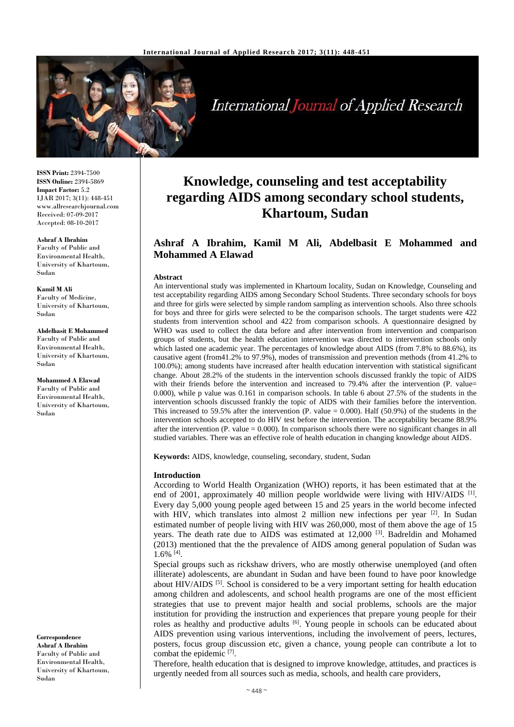

**International Journal of Applied Research** 

**ISSN Print:** 2394-7500 **ISSN Online:** 2394-5869 **Impact Factor:** 5.2 IJAR 2017; 3(11): 448-451 www.allresearchjournal.com Received: 07-09-2017 Accepted: 08-10-2017

#### **Ashraf A Ibrahim**

Faculty of Public and Environmental Health, University of Khartoum, Sudan

**Kamil M Ali** Faculty of Medicine, University of Khartoum, Sudan

**Abdelbasit E Mohammed** Faculty of Public and Environmental Health, University of Khartoum, Sudan

**Mohammed A Elawad** Faculty of Public and Environmental Health, University of Khartoum, Sudan

**Correspondence Ashraf A Ibrahim** Faculty of Public and Environmental Health, University of Khartoum, Sudan

# **Knowledge, counseling and test acceptability regarding AIDS among secondary school students, Khartoum, Sudan**

# **Ashraf A Ibrahim, Kamil M Ali, Abdelbasit E Mohammed and Mohammed A Elawad**

#### **Abstract**

An interventional study was implemented in Khartoum locality, Sudan on Knowledge, Counseling and test acceptability regarding AIDS among Secondary School Students. Three secondary schools for boys and three for girls were selected by simple random sampling as intervention schools. Also three schools for boys and three for girls were selected to be the comparison schools. The target students were 422 students from intervention school and 422 from comparison schools. A questionnaire designed by WHO was used to collect the data before and after intervention from intervention and comparison groups of students, but the health education intervention was directed to intervention schools only which lasted one academic year. The percentages of knowledge about AIDS (from 7.8% to 88.6%), its causative agent (from41.2% to 97.9%), modes of transmission and prevention methods (from 41.2% to 100.0%); among students have increased after health education intervention with statistical significant change. About 28.2% of the students in the intervention schools discussed frankly the topic of AIDS with their friends before the intervention and increased to 79.4% after the intervention (P. value= 0.000), while p value was 0.161 in comparison schools. In table 6 about 27.5% of the students in the intervention schools discussed frankly the topic of AIDS with their families before the intervention. This increased to 59.5% after the intervention (P. value = 0.000). Half (50.9%) of the students in the intervention schools accepted to do HIV test before the intervention. The acceptability became 88.9% after the intervention  $(P.$  value = 0.000). In comparison schools there were no significant changes in all studied variables. There was an effective role of health education in changing knowledge about AIDS.

**Keywords:** AIDS, knowledge, counseling, secondary, student, Sudan

#### **Introduction**

According to World Health Organization (WHO) reports, it has been estimated that at the end of 2001, approximately 40 million people worldwide were living with HIV/AIDS <sup>[1]</sup>. Every day 5,000 young people aged between 15 and 25 years in the world become infected with HIV, which translates into almost 2 million new infections per year [2]. In Sudan estimated number of people living with HIV was 260,000, most of them above the age of 15 years. The death rate due to AIDS was estimated at 12,000 [3]. Badreldin and Mohamed (2013) mentioned that the the prevalence of AIDS among general population of Sudan was  $1.6\%$  <sup>[4]</sup>.

Special groups such as rickshaw drivers, who are mostly otherwise unemployed (and often illiterate) adolescents, are abundant in Sudan and have been found to have poor knowledge about HIV/AIDS [5]. School is considered to be a very important setting for health education among children and adolescents, and school health programs are one of the most efficient strategies that use to prevent major health and social problems, schools are the major institution for providing the instruction and experiences that prepare young people for their roles as healthy and productive adults <sup>[6]</sup>. Young people in schools can be educated about AIDS prevention using various interventions, including the involvement of peers, lectures, posters, focus group discussion etc, given a chance, young people can contribute a lot to combat the epidemic [7].

Therefore, health education that is designed to improve knowledge, attitudes, and practices is urgently needed from all sources such as media, schools, and health care providers,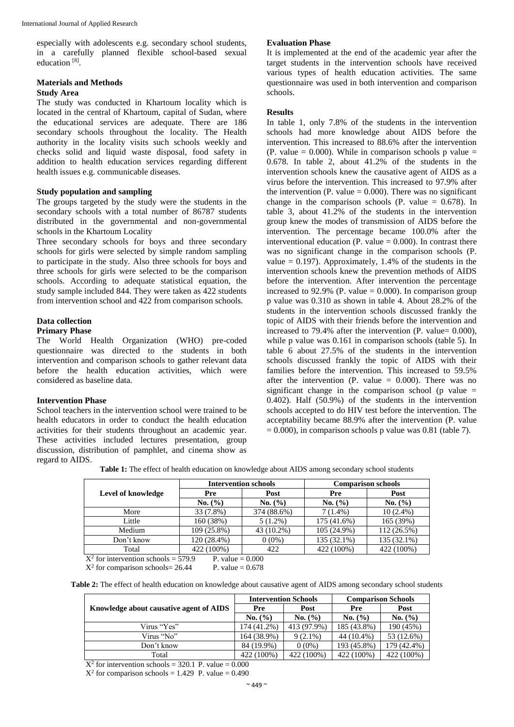especially with adolescents e.g. secondary school students, in a carefully planned flexible school-based sexual education<sup>[8]</sup>.

# **Materials and Methods**

# **Study Area**

The study was conducted in Khartoum locality which is located in the central of Khartoum, capital of Sudan, where the educational services are adequate. There are 186 secondary schools throughout the locality. The Health authority in the locality visits such schools weekly and checks solid and liquid waste disposal, food safety in addition to health education services regarding different health issues e.g. communicable diseases.

#### **Study population and sampling**

The groups targeted by the study were the students in the secondary schools with a total number of 86787 students distributed in the governmental and non-governmental schools in the Khartoum Locality

Three secondary schools for boys and three secondary schools for girls were selected by simple random sampling to participate in the study. Also three schools for boys and three schools for girls were selected to be the comparison schools. According to adequate statistical equation, the study sample included 844. They were taken as 422 students from intervention school and 422 from comparison schools.

#### **Data collection**

#### **Primary Phase**

The World Health Organization (WHO) pre-coded questionnaire was directed to the students in both intervention and comparison schools to gather relevant data before the health education activities, which were considered as baseline data.

### **Intervention Phase**

School teachers in the intervention school were trained to be health educators in order to conduct the health education activities for their students throughout an academic year. These activities included lectures presentation, group discussion, distribution of pamphlet, and cinema show as regard to AIDS.

#### **Evaluation Phase**

It is implemented at the end of the academic year after the target students in the intervention schools have received various types of health education activities. The same questionnaire was used in both intervention and comparison schools.

# **Results**

In table 1, only 7.8% of the students in the intervention schools had more knowledge about AIDS before the intervention. This increased to 88.6% after the intervention (P. value =  $0.000$ ). While in comparison schools p value = 0.678. In table 2, about 41.2% of the students in the intervention schools knew the causative agent of AIDS as a virus before the intervention. This increased to 97.9% after the intervention (P. value  $= 0.000$ ). There was no significant change in the comparison schools (P. value  $= 0.678$ ). In table 3, about 41.2% of the students in the intervention group knew the modes of transmission of AIDS before the intervention. The percentage became 100.0% after the interventional education (P. value  $= 0.000$ ). In contrast there was no significant change in the comparison schools (P. value  $= 0.197$ ). Approximately, 1.4% of the students in the intervention schools knew the prevention methods of AIDS before the intervention. After intervention the percentage increased to 92.9% (P. value  $= 0.000$ ). In comparison group p value was 0.310 as shown in table 4. About 28.2% of the students in the intervention schools discussed frankly the topic of AIDS with their friends before the intervention and increased to 79.4% after the intervention  $(P. value = 0.000)$ , while p value was 0.161 in comparison schools (table 5). In table 6 about 27.5% of the students in the intervention schools discussed frankly the topic of AIDS with their families before the intervention. This increased to 59.5% after the intervention (P. value  $= 0.000$ ). There was no significant change in the comparison school (p value  $=$ 0.402). Half (50.9%) of the students in the intervention schools accepted to do HIV test before the intervention. The acceptability became 88.9% after the intervention (P. value  $= 0.000$ ), in comparison schools p value was 0.81 (table 7).

**Table 1:** The effect of health education on knowledge about AIDS among secondary school students

|                                                              |             | <b>Intervention schools</b> | <b>Comparison schools</b> |               |  |  |  |  |  |
|--------------------------------------------------------------|-------------|-----------------------------|---------------------------|---------------|--|--|--|--|--|
| Level of knowledge                                           | Pre         | Post                        | Pre                       | Post          |  |  |  |  |  |
|                                                              | No. (%)     | No. (%)                     | No. (%)                   | No. (%)       |  |  |  |  |  |
| More                                                         | 33 (7.8%)   | 374 (88.6%)                 | $7(1.4\%)$                | $10(2.4\%)$   |  |  |  |  |  |
| Little                                                       | 160 (38%)   | $5(1.2\%)$                  | 175 (41.6%)               | 165 (39%)     |  |  |  |  |  |
| Medium                                                       | 109(25.8%)  | 43 (10.2%)                  | $105(24.9\%)$             | $112(26.5\%)$ |  |  |  |  |  |
| Don't know                                                   | 120 (28.4%) | $0(0\%)$                    | 135 (32.1%)               | 135 (32.1%)   |  |  |  |  |  |
| Total                                                        | 422 (100%)  | 422                         | 422 (100%)                | 422 (100%)    |  |  |  |  |  |
| $X^2$ for intervention schools = 579.9<br>P. value $= 0.000$ |             |                             |                           |               |  |  |  |  |  |

 $X^2$  for comparison schools= 26.44 P. value = 0.678

|  |  |  |  | Table 2: The effect of health education on knowledge about causative agent of AIDS among secondary school students |
|--|--|--|--|--------------------------------------------------------------------------------------------------------------------|
|  |  |  |  |                                                                                                                    |

|                                         |             | <b>Intervention Schools</b> | <b>Comparison Schools</b> |             |  |
|-----------------------------------------|-------------|-----------------------------|---------------------------|-------------|--|
| Knowledge about causative agent of AIDS | Pre         | Post                        | Pre                       | Post        |  |
|                                         | No. (%)     | No. (%)                     | No. (%)                   | No. (%)     |  |
| Virus "Yes"                             | 174 (41.2%) | 413 (97.9%)                 | 185 (43.8%)               | 190 (45%)   |  |
| Virus "No"                              | 164 (38.9%) | $9(2.1\%)$                  | 44 (10.4%)                | 53 (12.6%)  |  |
| Don't know                              | 84 (19.9%)  | $0(0\%)$                    | 193 (45.8%)               | 179 (42.4%) |  |
| Total                                   | 422 (100%)  | 422 (100%)                  | 422 (100%)                | 422 (100%)  |  |

 $X^2$  for intervention schools = 320.1 P. value = 0.000

 $X^2$  for comparison schools = 1.429 P. value = 0.490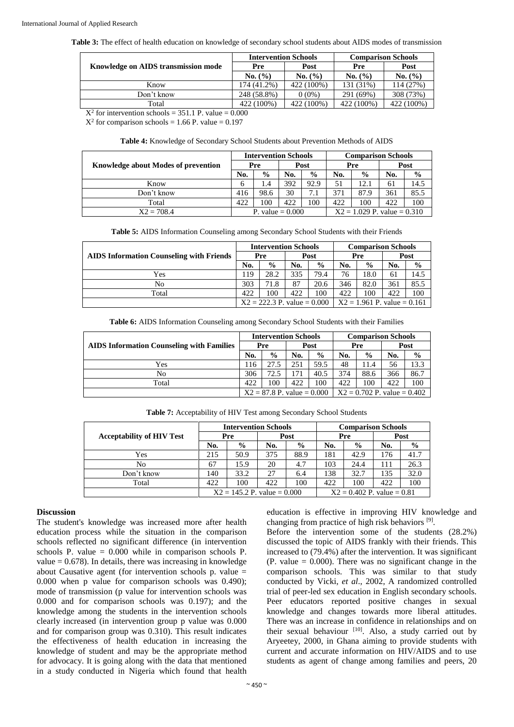**Table 3:** The effect of health education on knowledge of secondary school students about AIDS modes of transmission

|                                     | <b>Intervention Schools</b> |            | <b>Comparison Schools</b> |            |  |  |
|-------------------------------------|-----------------------------|------------|---------------------------|------------|--|--|
| Knowledge on AIDS transmission mode | Pre                         | Post       | Pre                       | Post       |  |  |
|                                     | No. (%)                     | No. (%)    | No. (%)                   | No. (%)    |  |  |
| Know                                | 174 (41.2%)                 | 422 (100%) | 131 (31%)                 | 114 (27%)  |  |  |
| Don't know                          | 248 (58.8%)                 | $0(0\%)$   | 291 (69%)                 | 308 (73%)  |  |  |
| Total                               | 422 (100%)                  | 422 (100%) | 422 (100%)                | 422 (100%) |  |  |

 $X^2$  for intervention schools = 351.1 P. value = 0.000

 $X^2$  for comparison schools = 1.66 P. value = 0.197

**Table 4:** Knowledge of Secondary School Students about Prevention Methods of AIDS

|                                     |                    | <b>Intervention Schools</b> |      |               | <b>Comparison Schools</b>     |               |      |      |  |
|-------------------------------------|--------------------|-----------------------------|------|---------------|-------------------------------|---------------|------|------|--|
| Knowledge about Modes of prevention | Pre                |                             | Post |               | Pre                           |               | Post |      |  |
|                                     | No.                | $\frac{6}{9}$               | No.  | $\frac{6}{9}$ | No.                           | $\frac{0}{0}$ | No.  | $\%$ |  |
| Know                                | 6                  | $\cdot$ 4                   | 392  | 92.9          | 51                            | 12.1          | 61   | 14.5 |  |
| Don't know                          | 416                | 98.6                        | 30   | 7.1           | 371                           | 87.9          | 361  | 85.5 |  |
| Total                               | 422                | .00                         | 422  | 100           | 422                           | 100           | 422  | 100  |  |
| $X2 = 708.4$                        | P. value $= 0.000$ |                             |      |               | $X2 = 1.029$ P. value = 0.310 |               |      |      |  |

|  | <b>Table 5:</b> AIDS Information Counseling among Secondary School Students with their Friends |
|--|------------------------------------------------------------------------------------------------|
|--|------------------------------------------------------------------------------------------------|

|                                                 | <b>Intervention Schools</b>   |               |     |               | <b>Comparison Schools</b>     |               |     |               |
|-------------------------------------------------|-------------------------------|---------------|-----|---------------|-------------------------------|---------------|-----|---------------|
| <b>AIDS</b> Information Counseling with Friends |                               | Pre           |     | Post          |                               | Pre           |     | Post          |
|                                                 |                               | $\frac{0}{0}$ | No. | $\frac{0}{0}$ | No.                           | $\frac{0}{0}$ | No. | $\frac{6}{9}$ |
| Yes                                             | 119                           | 28.2          | 335 | 79.4          | 76                            | 18.0          | 61  | 14.5          |
| No                                              | 303                           | 71.8          | 87  | 20.6          | 346                           | 82.0          | 361 | 85.5          |
| Total                                           | 422                           | 100           | 422 | 100           | 422                           | 100           | 422 | 100           |
|                                                 | $X2 = 222.3$ P. value = 0.000 |               |     |               | $X2 = 1.961$ P. value = 0.161 |               |     |               |

**Table 6:** AIDS Information Counseling among Secondary School Students with their Families

|                                                  | <b>Intervention Schools</b>  |               |     |               | <b>Comparison Schools</b>     |               |     |               |
|--------------------------------------------------|------------------------------|---------------|-----|---------------|-------------------------------|---------------|-----|---------------|
| <b>AIDS</b> Information Counseling with Families |                              | Pre           |     | Post          |                               | Pre           |     | Post          |
|                                                  |                              | $\frac{0}{0}$ | No. | $\frac{0}{0}$ | No.                           | $\frac{6}{9}$ | No. | $\frac{6}{9}$ |
| Yes                                              | 116                          | 27.5          | 251 | 59.5          | 48                            | 11.4          | 56  | 13.3          |
| No                                               | 306                          | 72.5          | 171 | 40.5          | 374                           | 88.6          | 366 | 86.7          |
| Total                                            | 422                          | 00            | 422 | 100           | 422                           | 100           | 422 | 100           |
|                                                  | $X2 = 87.8$ P. value = 0.000 |               |     |               | $X2 = 0.702$ P. value = 0.402 |               |     |               |

|                                  | <b>Intervention Schools</b>   |               |      |               | <b>Comparison Schools</b> |                              |      |               |  |
|----------------------------------|-------------------------------|---------------|------|---------------|---------------------------|------------------------------|------|---------------|--|
| <b>Acceptability of HIV Test</b> | Pre                           |               | Post |               | Pre                       |                              | Post |               |  |
|                                  | No.                           | $\frac{6}{9}$ | No.  | $\frac{6}{9}$ | No.                       | $\frac{6}{9}$                | No.  | $\frac{6}{9}$ |  |
| Yes                              | 215                           | 50.9          | 375  | 88.9          | 181                       | 42.9                         | 176  | 41.7          |  |
| No                               | 67                            | 15.9          | 20   | 4.7           | 103                       | 24.4                         | 111  | 26.3          |  |
| Don't know                       | 140                           | 33.2          | 27   | 6.4           | 138                       | 32.7                         | 135  | 32.0          |  |
| Total                            | 422                           | 100           | 422  | 100           | 422                       | 100                          | 422  | 100           |  |
|                                  | $X2 = 145.2$ P. value = 0.000 |               |      |               |                           | $X2 = 0.402$ P. value = 0.81 |      |               |  |

**Table 7:** Acceptability of HIV Test among Secondary School Students

# **Discussion**

The student's knowledge was increased more after health education process while the situation in the comparison schools reflected no significant difference (in intervention schools P. value  $= 0.000$  while in comparison schools P. value  $= 0.678$ ). In details, there was increasing in knowledge about Causative agent (for intervention schools p. value = 0.000 when p value for comparison schools was 0.490); mode of transmission (p value for intervention schools was 0.000 and for comparison schools was 0.197); and the knowledge among the students in the intervention schools clearly increased (in intervention group p value was 0.000 and for comparison group was 0.310). This result indicates the effectiveness of health education in increasing the knowledge of student and may be the appropriate method for advocacy. It is going along with the data that mentioned in a study conducted in Nigeria which found that health education is effective in improving HIV knowledge and changing from practice of high risk behaviors [9].

Before the intervention some of the students (28.2%) discussed the topic of AIDS frankly with their friends. This increased to (79.4%) after the intervention. It was significant  $(P. value = 0.000)$ . There was no significant change in the comparison schools. This was similar to that study conducted by Vicki, *et al*., 2002, A randomized controlled trial of peer-led sex education in English secondary schools. Peer educators reported positive changes in sexual knowledge and changes towards more liberal attitudes. There was an increase in confidence in relationships and on their sexual behaviour  $[10]$ . Also, a study carried out by Aryeetey, 2000, in Ghana aiming to provide students with current and accurate information on HIV/AIDS and to use students as agent of change among families and peers, 20